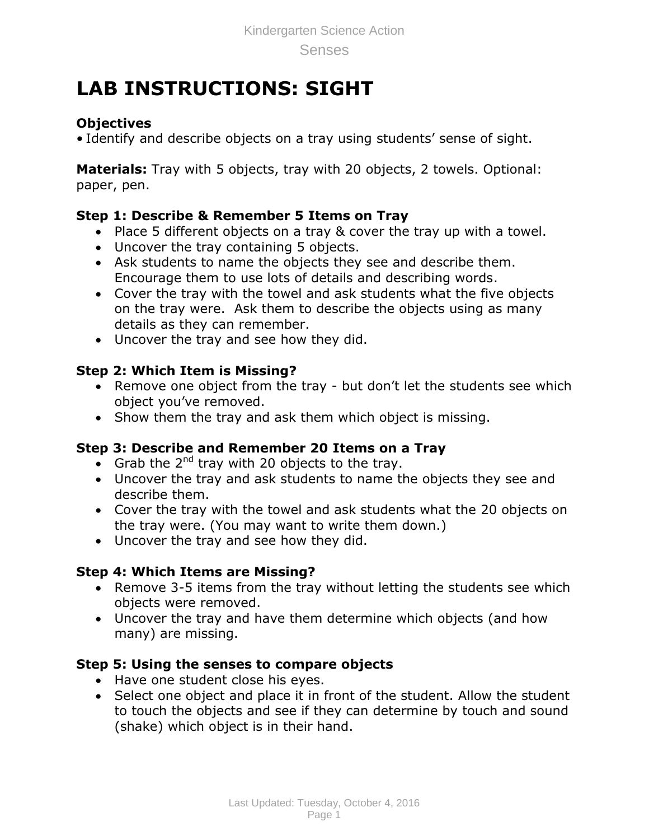# **LAB INSTRUCTIONS: SIGHT**

## **Objectives**

• Identify and describe objects on a tray using students' sense of sight.

**Materials:** Tray with 5 objects, tray with 20 objects, 2 towels. Optional: paper, pen.

## **Step 1: Describe & Remember 5 Items on Tray**

- Place 5 different objects on a tray & cover the tray up with a towel.
- Uncover the tray containing 5 objects.
- Ask students to name the objects they see and describe them. Encourage them to use lots of details and describing words.
- Cover the tray with the towel and ask students what the five objects on the tray were. Ask them to describe the objects using as many details as they can remember.
- Uncover the tray and see how they did.

## **Step 2: Which Item is Missing?**

- Remove one object from the tray but don't let the students see which object you've removed.
- Show them the tray and ask them which object is missing.

## **Step 3: Describe and Remember 20 Items on a Tray**

- Grab the  $2^{nd}$  tray with 20 objects to the tray.
- Uncover the tray and ask students to name the objects they see and describe them.
- Cover the tray with the towel and ask students what the 20 objects on the tray were. (You may want to write them down.)
- Uncover the tray and see how they did.

### **Step 4: Which Items are Missing?**

- Remove 3-5 items from the tray without letting the students see which objects were removed.
- Uncover the tray and have them determine which objects (and how many) are missing.

### **Step 5: Using the senses to compare objects**

- Have one student close his eyes.
- Select one object and place it in front of the student. Allow the student to touch the objects and see if they can determine by touch and sound (shake) which object is in their hand.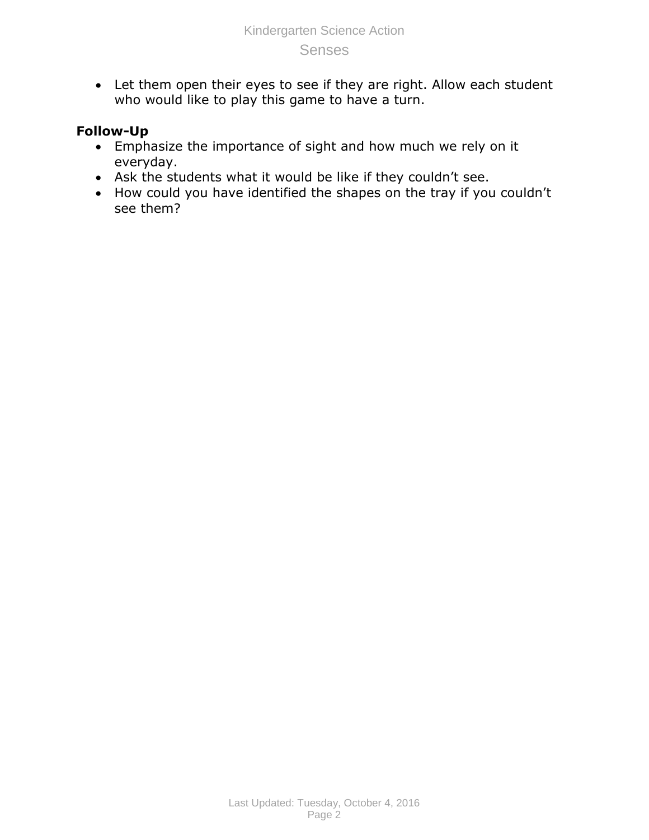Let them open their eyes to see if they are right. Allow each student who would like to play this game to have a turn.

### **Follow-Up**

- Emphasize the importance of sight and how much we rely on it everyday.
- Ask the students what it would be like if they couldn't see.
- How could you have identified the shapes on the tray if you couldn't see them?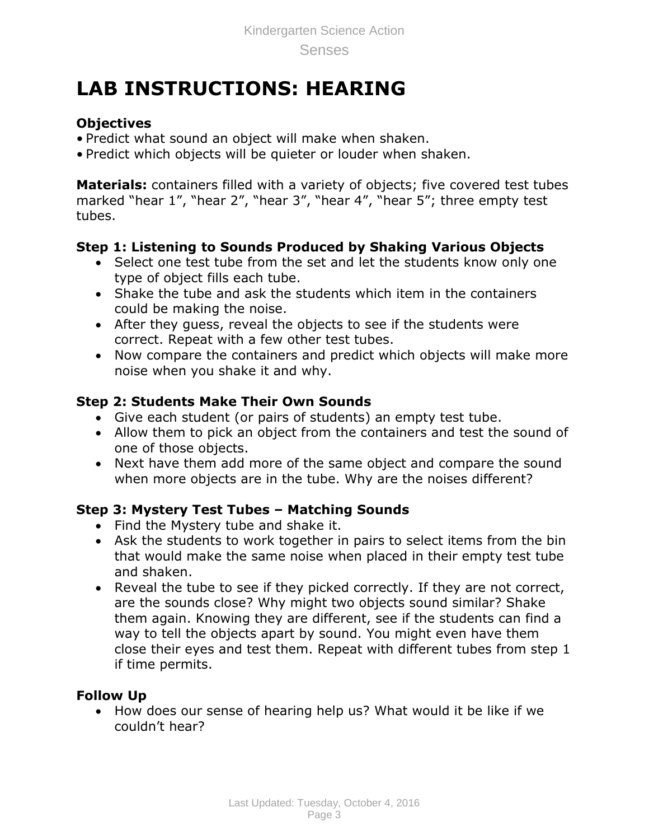# **LAB INSTRUCTIONS: HEARING**

## **Objectives**

- Predict what sound an object will make when shaken.
- Predict which objects will be quieter or louder when shaken.

**Materials:** containers filled with a variety of objects; five covered test tubes marked "hear 1", "hear 2", "hear 3", "hear 4", "hear 5"; three empty test tubes.

## **Step 1: Listening to Sounds Produced by Shaking Various Objects**

- Select one test tube from the set and let the students know only one type of object fills each tube.
- Shake the tube and ask the students which item in the containers could be making the noise.
- After they guess, reveal the objects to see if the students were correct. Repeat with a few other test tubes.
- Now compare the containers and predict which objects will make more noise when you shake it and why.

## **Step 2: Students Make Their Own Sounds**

- Give each student (or pairs of students) an empty test tube.
- Allow them to pick an object from the containers and test the sound of one of those objects.
- Next have them add more of the same object and compare the sound when more objects are in the tube. Why are the noises different?

### **Step 3: Mystery Test Tubes – Matching Sounds**

- Find the Mystery tube and shake it.
- Ask the students to work together in pairs to select items from the bin that would make the same noise when placed in their empty test tube and shaken.
- Reveal the tube to see if they picked correctly. If they are not correct, are the sounds close? Why might two objects sound similar? Shake them again. Knowing they are different, see if the students can find a way to tell the objects apart by sound. You might even have them close their eyes and test them. Repeat with different tubes from step 1 if time permits.

## **Follow Up**

• How does our sense of hearing help us? What would it be like if we couldn't hear?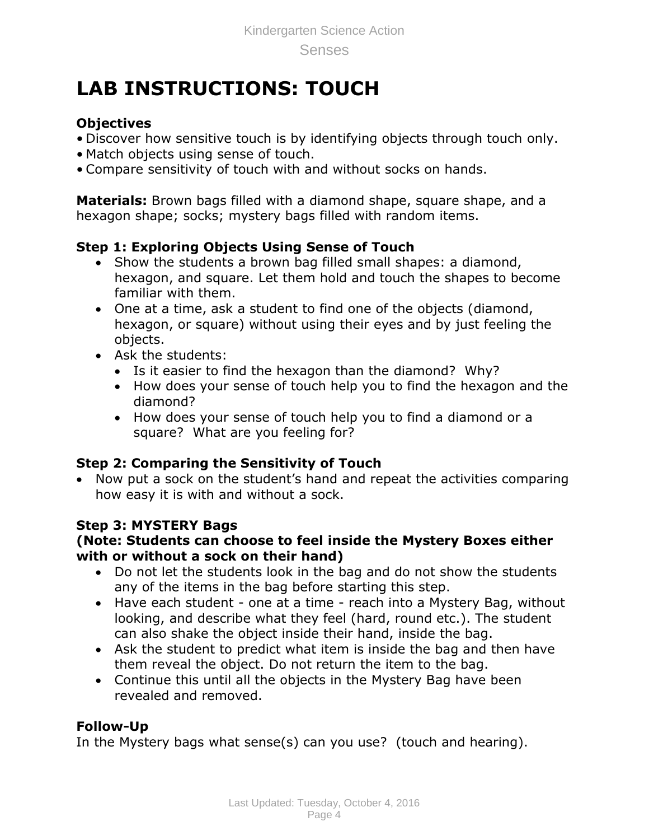# **LAB INSTRUCTIONS: TOUCH**

## **Objectives**

- Discover how sensitive touch is by identifying objects through touch only.
- Match objects using sense of touch.
- Compare sensitivity of touch with and without socks on hands.

**Materials:** Brown bags filled with a diamond shape, square shape, and a hexagon shape; socks; mystery bags filled with random items.

## **Step 1: Exploring Objects Using Sense of Touch**

- Show the students a brown bag filled small shapes: a diamond, hexagon, and square. Let them hold and touch the shapes to become familiar with them.
- One at a time, ask a student to find one of the objects (diamond, hexagon, or square) without using their eyes and by just feeling the objects.
- Ask the students:
	- Is it easier to find the hexagon than the diamond? Why?
	- How does your sense of touch help you to find the hexagon and the diamond?
	- How does your sense of touch help you to find a diamond or a square? What are you feeling for?

## **Step 2: Comparing the Sensitivity of Touch**

• Now put a sock on the student's hand and repeat the activities comparing how easy it is with and without a sock.

### **Step 3: MYSTERY Bags**

#### **(Note: Students can choose to feel inside the Mystery Boxes either with or without a sock on their hand)**

- Do not let the students look in the bag and do not show the students any of the items in the bag before starting this step.
- Have each student one at a time reach into a Mystery Bag, without looking, and describe what they feel (hard, round etc.). The student can also shake the object inside their hand, inside the bag.
- Ask the student to predict what item is inside the bag and then have them reveal the object. Do not return the item to the bag.
- Continue this until all the objects in the Mystery Bag have been revealed and removed.

### **Follow-Up**

In the Mystery bags what sense(s) can you use? (touch and hearing).